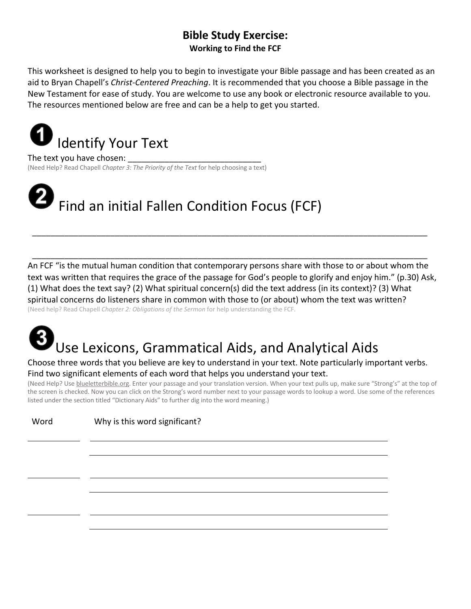#### **Bible Study Exercise: Working to Find the FCF**

This worksheet is designed to help you to begin to investigate your Bible passage and has been created as an aid to Bryan Chapell's *Christ-Centered Preaching*. It is recommended that you choose a Bible passage in the New Testament for ease of study. You are welcome to use any book or electronic resource available to you. The resources mentioned below are free and can be a help to get you started.



The text you have chosen: (Need Help? Read Chapell *Chapter 3: The Priority of the Text* for help choosing a text)

### Find an initial Fallen Condition Focus (FCF)

An FCF "is the mutual human condition that contemporary persons share with those to or about whom the text was written that requires the grace of the passage for God's people to glorify and enjoy him." (p.30) Ask, (1) What does the text say? (2) What spiritual concern(s) did the text address (in its context)? (3) What spiritual concerns do listeners share in common with those to (or about) whom the text was written? (Need help? Read Chapell *Chapter 2: Obligations of the Sermon* for help understanding the FCF.

\_\_\_\_\_\_\_\_\_\_\_\_\_\_\_\_\_\_\_\_\_\_\_\_\_\_\_\_\_\_\_\_\_\_\_\_\_\_\_\_\_\_\_\_\_\_\_\_\_\_\_\_\_\_\_\_\_\_\_\_\_\_\_\_\_\_\_\_\_\_\_\_\_\_\_\_\_\_\_\_\_\_\_\_\_\_

\_\_\_\_\_\_\_\_\_\_\_\_\_\_\_\_\_\_\_\_\_\_\_\_\_\_\_\_\_\_\_\_\_\_\_\_\_\_\_\_\_\_\_\_\_\_\_\_\_\_\_\_\_\_\_\_\_\_\_\_\_\_\_\_\_\_\_\_\_\_\_\_\_\_\_\_\_\_\_\_\_\_\_\_\_\_

### Use Lexicons, Grammatical Aids, and Analytical Aids

#### Choose three words that you believe are key to understand in your text. Note particularly important verbs. Find two significant elements of each word that helps you understand your text.

(Need Help? Use blueletterbible.org. Enter your passage and your translation version. When your text pulls up, make sure "Strong's" at the top of the screen is checked. Now you can click on the Strong's word number next to your passage words to lookup a word. Use some of the references listed under the section titled "Dictionary Aids" to further dig into the word meaning.)

Word Why is this word significant?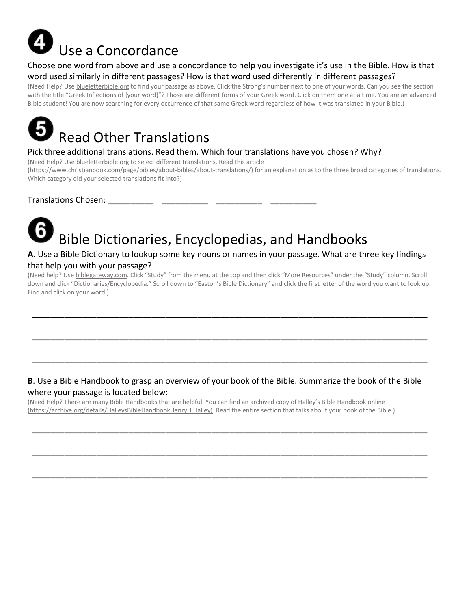## Use a Concordance

#### Choose one word from above and use a concordance to help you investigate it's use in the Bible. How is that word used similarly in different passages? How is that word used differently in different passages?

(Need Help? Use blueletterbible.org to find your passage as above. Click the Strong's number next to one of your words. Can you see the section with the title "Greek Inflections of {your word}"? Those are different forms of your Greek word. Click on them one at a time. You are an advanced Bible student! You are now searching for every occurrence of that same Greek word regardless of how it was translated in your Bible.)



#### Pick three additional translations. Read them. Which four translations have you chosen? Why?

(Need Help? Use blueletterbible.org to select different translations. Read this article

(https://www.christianbook.com/page/bibles/about-bibles/about-translations/) for an explanation as to the three broad categories of translations. Which category did your selected translations fit into?)

#### Translations Chosen: \_\_\_\_\_\_\_\_\_\_\_\_ \_\_\_\_\_\_\_\_

### Bible Dictionaries, Encyclopedias, and Handbooks

#### **A**. Use a Bible Dictionary to lookup some key nouns or names in your passage. What are three key findings that help you with your passage?

(Need help? Use biblegateway.com. Click "Study" from the menu at the top and then click "More Resources" under the "Study" column. Scroll down and click "Dictionaries/Encyclopedia." Scroll down to "Easton's Bible Dictionary" and click the first letter of the word you want to look up. Find and click on your word.)

\_\_\_\_\_\_\_\_\_\_\_\_\_\_\_\_\_\_\_\_\_\_\_\_\_\_\_\_\_\_\_\_\_\_\_\_\_\_\_\_\_\_\_\_\_\_\_\_\_\_\_\_\_\_\_\_\_\_\_\_\_\_\_\_\_\_\_\_\_\_\_\_\_\_\_\_\_\_\_\_\_\_\_\_\_\_

\_\_\_\_\_\_\_\_\_\_\_\_\_\_\_\_\_\_\_\_\_\_\_\_\_\_\_\_\_\_\_\_\_\_\_\_\_\_\_\_\_\_\_\_\_\_\_\_\_\_\_\_\_\_\_\_\_\_\_\_\_\_\_\_\_\_\_\_\_\_\_\_\_\_\_\_\_\_\_\_\_\_\_\_\_\_

\_\_\_\_\_\_\_\_\_\_\_\_\_\_\_\_\_\_\_\_\_\_\_\_\_\_\_\_\_\_\_\_\_\_\_\_\_\_\_\_\_\_\_\_\_\_\_\_\_\_\_\_\_\_\_\_\_\_\_\_\_\_\_\_\_\_\_\_\_\_\_\_\_\_\_\_\_\_\_\_\_\_\_\_\_\_

#### **B**. Use a Bible Handbook to grasp an overview of your book of the Bible. Summarize the book of the Bible where your passage is located below:

\_\_\_\_\_\_\_\_\_\_\_\_\_\_\_\_\_\_\_\_\_\_\_\_\_\_\_\_\_\_\_\_\_\_\_\_\_\_\_\_\_\_\_\_\_\_\_\_\_\_\_\_\_\_\_\_\_\_\_\_\_\_\_\_\_\_\_\_\_\_\_\_\_\_\_\_\_\_\_\_\_\_\_\_\_\_

\_\_\_\_\_\_\_\_\_\_\_\_\_\_\_\_\_\_\_\_\_\_\_\_\_\_\_\_\_\_\_\_\_\_\_\_\_\_\_\_\_\_\_\_\_\_\_\_\_\_\_\_\_\_\_\_\_\_\_\_\_\_\_\_\_\_\_\_\_\_\_\_\_\_\_\_\_\_\_\_\_\_\_\_\_\_

\_\_\_\_\_\_\_\_\_\_\_\_\_\_\_\_\_\_\_\_\_\_\_\_\_\_\_\_\_\_\_\_\_\_\_\_\_\_\_\_\_\_\_\_\_\_\_\_\_\_\_\_\_\_\_\_\_\_\_\_\_\_\_\_\_\_\_\_\_\_\_\_\_\_\_\_\_\_\_\_\_\_\_\_\_\_

(Need Help? There are many Bible Handbooks that are helpful. You can find an archived copy of Halley's Bible Handbook online (https://archive.org/details/HalleysBibleHandbookHenryH.Halley). Read the entire section that talks about your book of the Bible.)